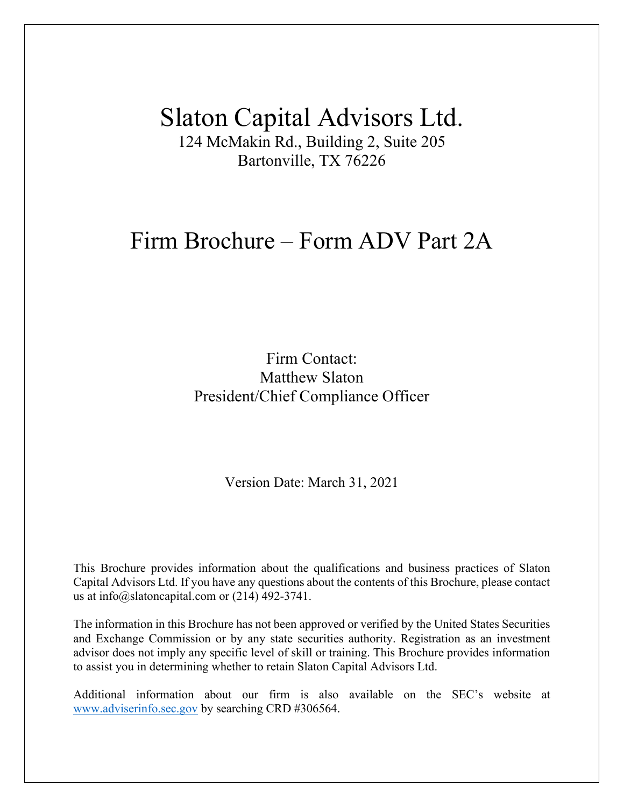# Slaton Capital Advisors Ltd.

124 McMakin Rd., Building 2, Suite 205 Bartonville, TX 76226

## Firm Brochure – Form ADV Part 2A

Firm Contact: Matthew Slaton President/Chief Compliance Officer

Version Date: March 31, 2021

This Brochure provides information about the qualifications and business practices of Slaton Capital Advisors Ltd. If you have any questions about the contents of this Brochure, please contact us at info@slatoncapital.com or (214) 492-3741.

The information in this Brochure has not been approved or verified by the United States Securities and Exchange Commission or by any state securities authority. Registration as an investment advisor does not imply any specific level of skill or training. This Brochure provides information to assist you in determining whether to retain Slaton Capital Advisors Ltd.

Additional information about our firm is also available on the SEC's website at [www.adviserinfo.sec.gov](http://www.adviserinfo.sec.gov/) by searching CRD #306564.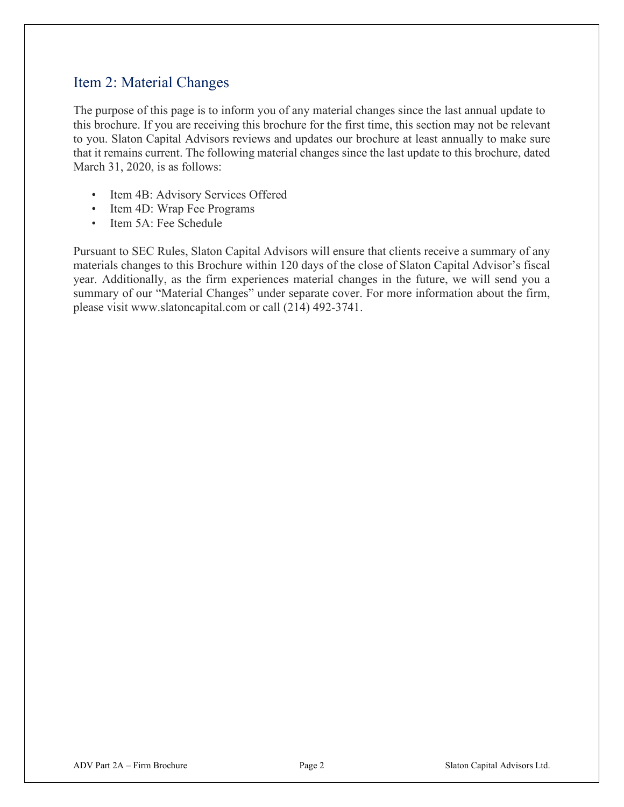## <span id="page-1-0"></span>Item 2: Material Changes

The purpose of this page is to inform you of any material changes since the last annual update to this brochure. If you are receiving this brochure for the first time, this section may not be relevant to you. Slaton Capital Advisors reviews and updates our brochure at least annually to make sure that it remains current. The following material changes since the last update to this brochure, dated March 31, 2020, is as follows:

- Item 4B: Advisory Services Offered
- Item 4D: Wrap Fee Programs
- Item 5A: Fee Schedule

Pursuant to SEC Rules, Slaton Capital Advisors will ensure that clients receive a summary of any materials changes to this Brochure within 120 days of the close of Slaton Capital Advisor's fiscal year. Additionally, as the firm experiences material changes in the future, we will send you a summary of our "Material Changes" under separate cover. For more information about the firm, please visit www.slatoncapital.com or call (214) 492-3741.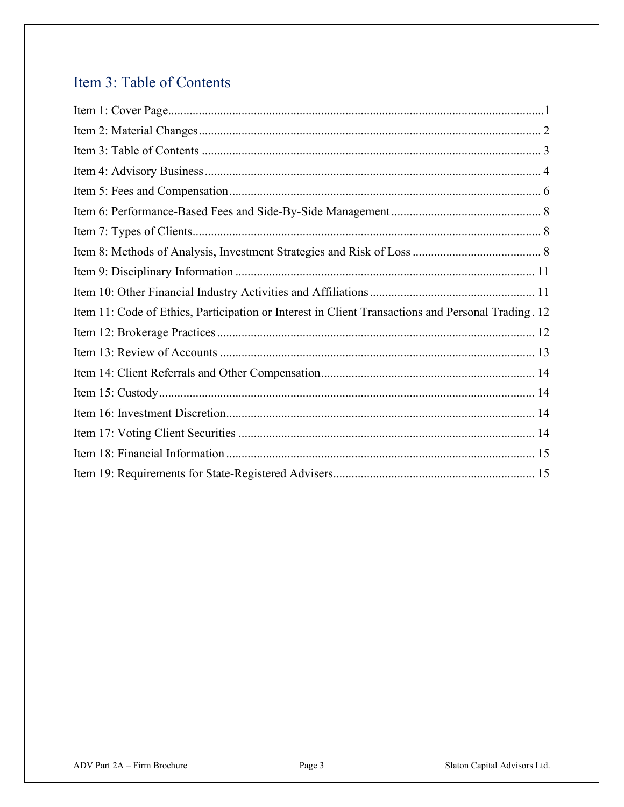## <span id="page-2-0"></span>Item 3: Table of Contents

| Item 11: Code of Ethics, Participation or Interest in Client Transactions and Personal Trading. 12 |
|----------------------------------------------------------------------------------------------------|
|                                                                                                    |
|                                                                                                    |
|                                                                                                    |
|                                                                                                    |
|                                                                                                    |
|                                                                                                    |
|                                                                                                    |
|                                                                                                    |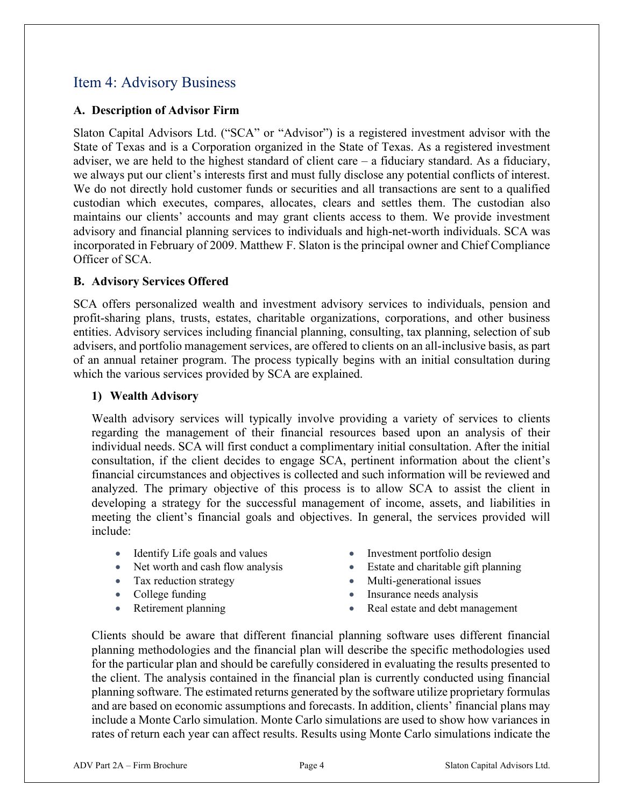## <span id="page-3-0"></span>Item 4: Advisory Business

#### **A. Description of Advisor Firm**

Slaton Capital Advisors Ltd. ("SCA" or "Advisor") is a registered investment advisor with the State of Texas and is a Corporation organized in the State of Texas. As a registered investment adviser, we are held to the highest standard of client care – a fiduciary standard. As a fiduciary, we always put our client's interests first and must fully disclose any potential conflicts of interest. We do not directly hold customer funds or securities and all transactions are sent to a qualified custodian which executes, compares, allocates, clears and settles them. The custodian also maintains our clients' accounts and may grant clients access to them. We provide investment advisory and financial planning services to individuals and high-net-worth individuals. SCA was incorporated in February of 2009. Matthew F. Slaton is the principal owner and Chief Compliance Officer of SCA.

#### **B. Advisory Services Offered**

SCA offers personalized wealth and investment advisory services to individuals, pension and profit-sharing plans, trusts, estates, charitable organizations, corporations, and other business entities. Advisory services including financial planning, consulting, tax planning, selection of sub advisers, and portfolio management services, are offered to clients on an all-inclusive basis, as part of an annual retainer program. The process typically begins with an initial consultation during which the various services provided by SCA are explained.

#### **1) Wealth Advisory**

Wealth advisory services will typically involve providing a variety of services to clients regarding the management of their financial resources based upon an analysis of their individual needs. SCA will first conduct a complimentary initial consultation. After the initial consultation, if the client decides to engage SCA, pertinent information about the client's financial circumstances and objectives is collected and such information will be reviewed and analyzed. The primary objective of this process is to allow SCA to assist the client in developing a strategy for the successful management of income, assets, and liabilities in meeting the client's financial goals and objectives. In general, the services provided will include:

- Identify Life goals and values Investment portfolio design
- Net worth and cash flow analysis Estate and charitable gift planning
- 
- 
- 
- 
- 
- Tax reduction strategy Multi-generational issues
- College funding Insurance needs analysis
	- **Parameter 1 Real estate and debt management planning and respect to the Real estate and debt management**

Clients should be aware that different financial planning software uses different financial planning methodologies and the financial plan will describe the specific methodologies used for the particular plan and should be carefully considered in evaluating the results presented to the client. The analysis contained in the financial plan is currently conducted using financial planning software. The estimated returns generated by the software utilize proprietary formulas and are based on economic assumptions and forecasts. In addition, clients' financial plans may include a Monte Carlo simulation. Monte Carlo simulations are used to show how variances in rates of return each year can affect results. Results using Monte Carlo simulations indicate the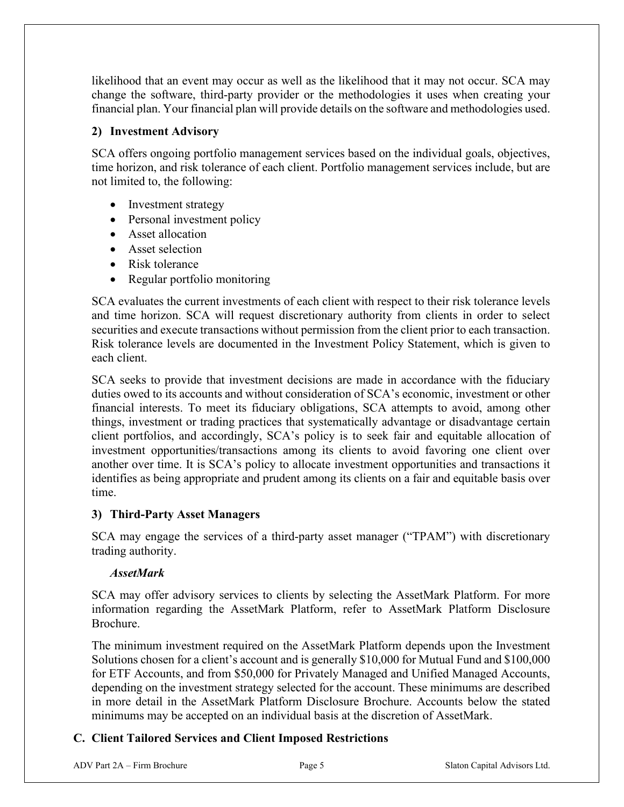likelihood that an event may occur as well as the likelihood that it may not occur. SCA may change the software, third-party provider or the methodologies it uses when creating your financial plan. Your financial plan will provide details on the software and methodologies used.

#### **2) Investment Advisory**

SCA offers ongoing portfolio management services based on the individual goals, objectives, time horizon, and risk tolerance of each client. Portfolio management services include, but are not limited to, the following:

- Investment strategy
- Personal investment policy
- Asset allocation
- Asset selection
- Risk tolerance
- Regular portfolio monitoring

SCA evaluates the current investments of each client with respect to their risk tolerance levels and time horizon. SCA will request discretionary authority from clients in order to select securities and execute transactions without permission from the client prior to each transaction. Risk tolerance levels are documented in the Investment Policy Statement, which is given to each client.

SCA seeks to provide that investment decisions are made in accordance with the fiduciary duties owed to its accounts and without consideration of SCA's economic, investment or other financial interests. To meet its fiduciary obligations, SCA attempts to avoid, among other things, investment or trading practices that systematically advantage or disadvantage certain client portfolios, and accordingly, SCA's policy is to seek fair and equitable allocation of investment opportunities/transactions among its clients to avoid favoring one client over another over time. It is SCA's policy to allocate investment opportunities and transactions it identifies as being appropriate and prudent among its clients on a fair and equitable basis over time.

#### **3) Third-Party Asset Managers**

SCA may engage the services of a third-party asset manager ("TPAM") with discretionary trading authority.

#### *AssetMark*

SCA may offer advisory services to clients by selecting the AssetMark Platform. For more information regarding the AssetMark Platform, refer to AssetMark Platform Disclosure Brochure.

The minimum investment required on the AssetMark Platform depends upon the Investment Solutions chosen for a client's account and is generally \$10,000 for Mutual Fund and \$100,000 for ETF Accounts, and from \$50,000 for Privately Managed and Unified Managed Accounts, depending on the investment strategy selected for the account. These minimums are described in more detail in the AssetMark Platform Disclosure Brochure. Accounts below the stated minimums may be accepted on an individual basis at the discretion of AssetMark.

#### **C. Client Tailored Services and Client Imposed Restrictions**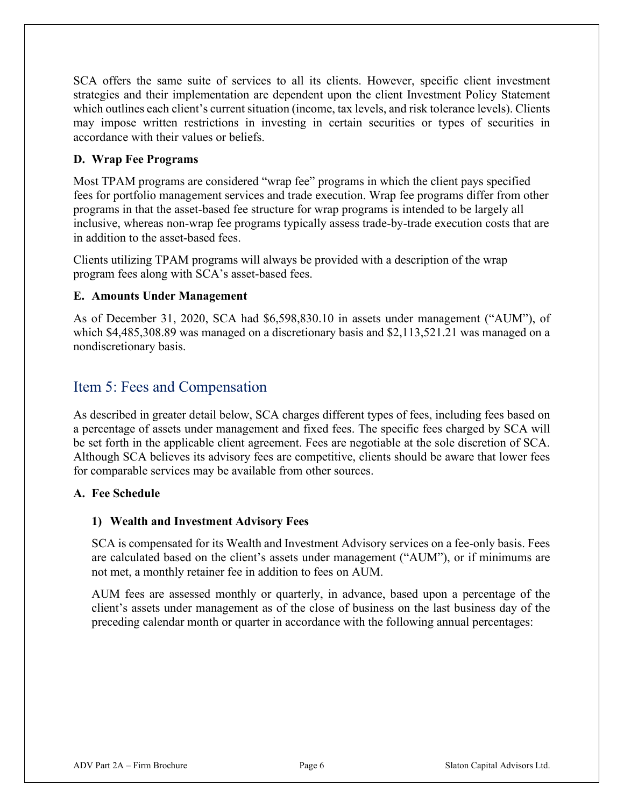SCA offers the same suite of services to all its clients. However, specific client investment strategies and their implementation are dependent upon the client Investment Policy Statement which outlines each client's current situation (income, tax levels, and risk tolerance levels). Clients may impose written restrictions in investing in certain securities or types of securities in accordance with their values or beliefs.

#### **D. Wrap Fee Programs**

Most TPAM programs are considered "wrap fee" programs in which the client pays specified fees for portfolio management services and trade execution. Wrap fee programs differ from other programs in that the asset-based fee structure for wrap programs is intended to be largely all inclusive, whereas non-wrap fee programs typically assess trade-by-trade execution costs that are in addition to the asset-based fees.

Clients utilizing TPAM programs will always be provided with a description of the wrap program fees along with SCA's asset-based fees.

#### **E. Amounts Under Management**

As of December 31, 2020, SCA had \$6,598,830.10 in assets under management ("AUM"), of which \$4,485,308.89 was managed on a discretionary basis and \$2,113,521.21 was managed on a nondiscretionary basis.

## <span id="page-5-0"></span>Item 5: Fees and Compensation

As described in greater detail below, SCA charges different types of fees, including fees based on a percentage of assets under management and fixed fees. The specific fees charged by SCA will be set forth in the applicable client agreement. Fees are negotiable at the sole discretion of SCA. Although SCA believes its advisory fees are competitive, clients should be aware that lower fees for comparable services may be available from other sources.

#### **A. Fee Schedule**

#### **1) Wealth and Investment Advisory Fees**

SCA is compensated for its Wealth and Investment Advisory services on a fee-only basis. Fees are calculated based on the client's assets under management ("AUM"), or if minimums are not met, a monthly retainer fee in addition to fees on AUM.

AUM fees are assessed monthly or quarterly, in advance, based upon a percentage of the client's assets under management as of the close of business on the last business day of the preceding calendar month or quarter in accordance with the following annual percentages: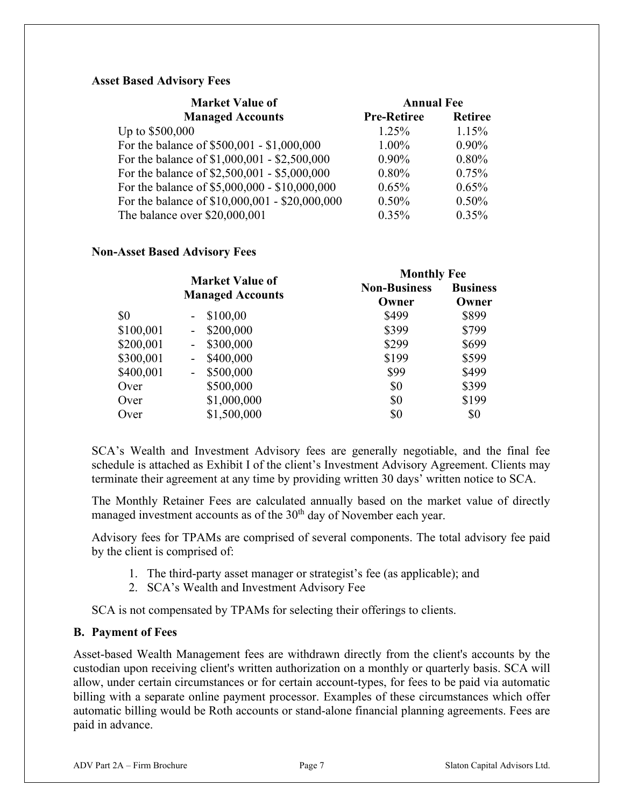#### **Asset Based Advisory Fees**

| <b>Market Value of</b>                         | <b>Annual Fee</b>  |                |
|------------------------------------------------|--------------------|----------------|
| <b>Managed Accounts</b>                        | <b>Pre-Retiree</b> | <b>Retiree</b> |
| Up to \$500,000                                | $1.25\%$           | 1.15%          |
| For the balance of \$500,001 - \$1,000,000     | $1.00\%$           | $0.90\%$       |
| For the balance of \$1,000,001 - \$2,500,000   | $0.90\%$           | 0.80%          |
| For the balance of \$2,500,001 - \$5,000,000   | 0.80%              | 0.75%          |
| For the balance of \$5,000,000 - \$10,000,000  | $0.65\%$           | 0.65%          |
| For the balance of \$10,000,001 - \$20,000,000 | $0.50\%$           | 0.50%          |
| The balance over \$20,000,001                  | $0.35\%$           | 0.35%          |

#### **Non-Asset Based Advisory Fees**

|           | <b>Market Value of</b><br><b>Managed Accounts</b> | <b>Monthly Fee</b>  |                 |
|-----------|---------------------------------------------------|---------------------|-----------------|
|           |                                                   | <b>Non-Business</b> | <b>Business</b> |
|           |                                                   | Owner               | Owner           |
| \$0       | \$100,00                                          | \$499               | \$899           |
| \$100,001 | \$200,000<br>$\sim$                               | \$399               | \$799           |
| \$200,001 | \$300,000<br>-                                    | \$299               | \$699           |
| \$300,001 | \$400,000<br>-                                    | \$199               | \$599           |
| \$400,001 | \$500,000<br>۰                                    | \$99                | \$499           |
| Over      | \$500,000                                         | \$0                 | \$399           |
| Over      | \$1,000,000                                       | \$0                 | \$199           |
| Over      | \$1,500,000                                       | \$0                 | \$0             |

SCA's Wealth and Investment Advisory fees are generally negotiable, and the final fee schedule is attached as Exhibit I of the client's Investment Advisory Agreement. Clients may terminate their agreement at any time by providing written 30 days' written notice to SCA.

The Monthly Retainer Fees are calculated annually based on the market value of directly managed investment accounts as of the  $30<sup>th</sup>$  day of November each year.

Advisory fees for TPAMs are comprised of several components. The total advisory fee paid by the client is comprised of:

- 1. The third-party asset manager or strategist's fee (as applicable); and
- 2. SCA's Wealth and Investment Advisory Fee

SCA is not compensated by TPAMs for selecting their offerings to clients.

#### **B. Payment of Fees**

Asset-based Wealth Management fees are withdrawn directly from the client's accounts by the custodian upon receiving client's written authorization on a monthly or quarterly basis. SCA will allow, under certain circumstances or for certain account-types, for fees to be paid via automatic billing with a separate online payment processor. Examples of these circumstances which offer automatic billing would be Roth accounts or stand-alone financial planning agreements. Fees are paid in advance.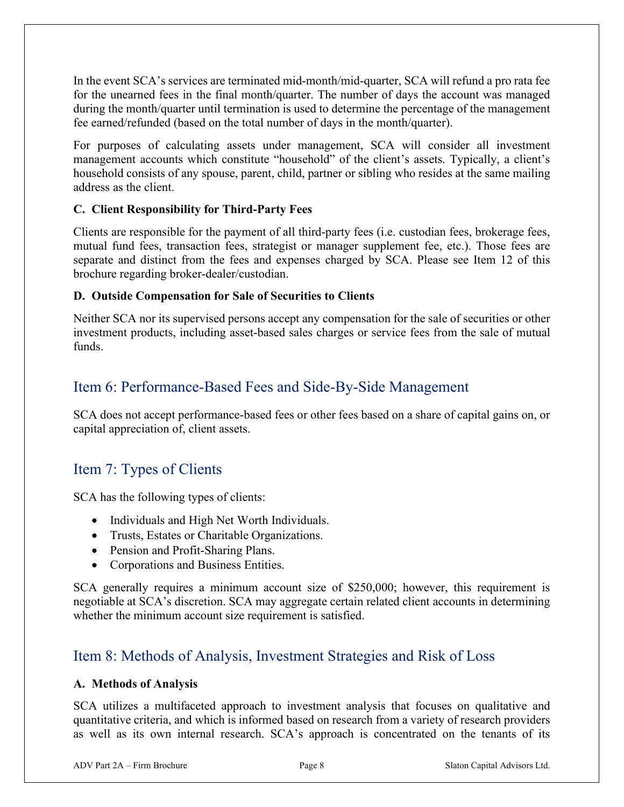In the event SCA's services are terminated mid-month/mid-quarter, SCA will refund a pro rata fee for the unearned fees in the final month/quarter. The number of days the account was managed during the month/quarter until termination is used to determine the percentage of the management fee earned/refunded (based on the total number of days in the month/quarter).

For purposes of calculating assets under management, SCA will consider all investment management accounts which constitute "household" of the client's assets. Typically, a client's household consists of any spouse, parent, child, partner or sibling who resides at the same mailing address as the client.

#### **C. Client Responsibility for Third-Party Fees**

Clients are responsible for the payment of all third-party fees (i.e. custodian fees, brokerage fees, mutual fund fees, transaction fees, strategist or manager supplement fee, etc.). Those fees are separate and distinct from the fees and expenses charged by SCA. Please see Item 12 of this brochure regarding broker-dealer/custodian.

#### **D. Outside Compensation for Sale of Securities to Clients**

Neither SCA nor its supervised persons accept any compensation for the sale of securities or other investment products, including asset-based sales charges or service fees from the sale of mutual funds.

## <span id="page-7-0"></span>Item 6: Performance-Based Fees and Side-By-Side Management

SCA does not accept performance-based fees or other fees based on a share of capital gains on, or capital appreciation of, client assets.

## <span id="page-7-1"></span>Item 7: Types of Clients

SCA has the following types of clients:

- Individuals and High Net Worth Individuals.
- Trusts, Estates or Charitable Organizations.
- Pension and Profit-Sharing Plans.
- Corporations and Business Entities.

SCA generally requires a minimum account size of \$250,000; however, this requirement is negotiable at SCA's discretion. SCA may aggregate certain related client accounts in determining whether the minimum account size requirement is satisfied.

## <span id="page-7-2"></span>Item 8: Methods of Analysis, Investment Strategies and Risk of Loss

#### **A. Methods of Analysis**

SCA utilizes a multifaceted approach to investment analysis that focuses on qualitative and quantitative criteria, and which is informed based on research from a variety of research providers as well as its own internal research. SCA's approach is concentrated on the tenants of its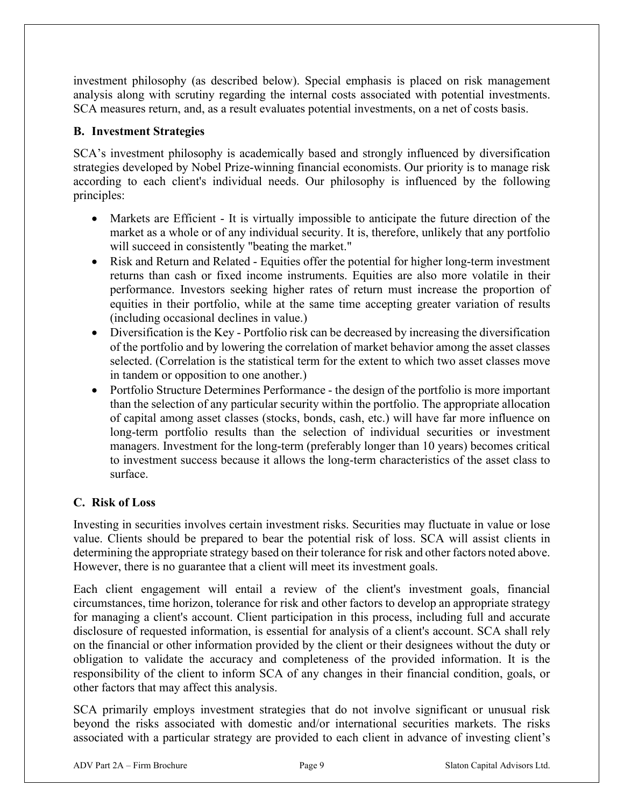investment philosophy (as described below). Special emphasis is placed on risk management analysis along with scrutiny regarding the internal costs associated with potential investments. SCA measures return, and, as a result evaluates potential investments, on a net of costs basis.

#### **B. Investment Strategies**

SCA's investment philosophy is academically based and strongly influenced by diversification strategies developed by Nobel Prize-winning financial economists. Our priority is to manage risk according to each client's individual needs. Our philosophy is influenced by the following principles:

- Markets are Efficient It is virtually impossible to anticipate the future direction of the market as a whole or of any individual security. It is, therefore, unlikely that any portfolio will succeed in consistently "beating the market."
- Risk and Return and Related Equities offer the potential for higher long-term investment returns than cash or fixed income instruments. Equities are also more volatile in their performance. Investors seeking higher rates of return must increase the proportion of equities in their portfolio, while at the same time accepting greater variation of results (including occasional declines in value.)
- Diversification is the Key Portfolio risk can be decreased by increasing the diversification of the portfolio and by lowering the correlation of market behavior among the asset classes selected. (Correlation is the statistical term for the extent to which two asset classes move in tandem or opposition to one another.)
- Portfolio Structure Determines Performance the design of the portfolio is more important than the selection of any particular security within the portfolio. The appropriate allocation of capital among asset classes (stocks, bonds, cash, etc.) will have far more influence on long-term portfolio results than the selection of individual securities or investment managers. Investment for the long-term (preferably longer than 10 years) becomes critical to investment success because it allows the long-term characteristics of the asset class to surface.

#### **C. Risk of Loss**

Investing in securities involves certain investment risks. Securities may fluctuate in value or lose value. Clients should be prepared to bear the potential risk of loss. SCA will assist clients in determining the appropriate strategy based on their tolerance for risk and other factors noted above. However, there is no guarantee that a client will meet its investment goals.

Each client engagement will entail a review of the client's investment goals, financial circumstances, time horizon, tolerance for risk and other factors to develop an appropriate strategy for managing a client's account. Client participation in this process, including full and accurate disclosure of requested information, is essential for analysis of a client's account. SCA shall rely on the financial or other information provided by the client or their designees without the duty or obligation to validate the accuracy and completeness of the provided information. It is the responsibility of the client to inform SCA of any changes in their financial condition, goals, or other factors that may affect this analysis.

SCA primarily employs investment strategies that do not involve significant or unusual risk beyond the risks associated with domestic and/or international securities markets. The risks associated with a particular strategy are provided to each client in advance of investing client's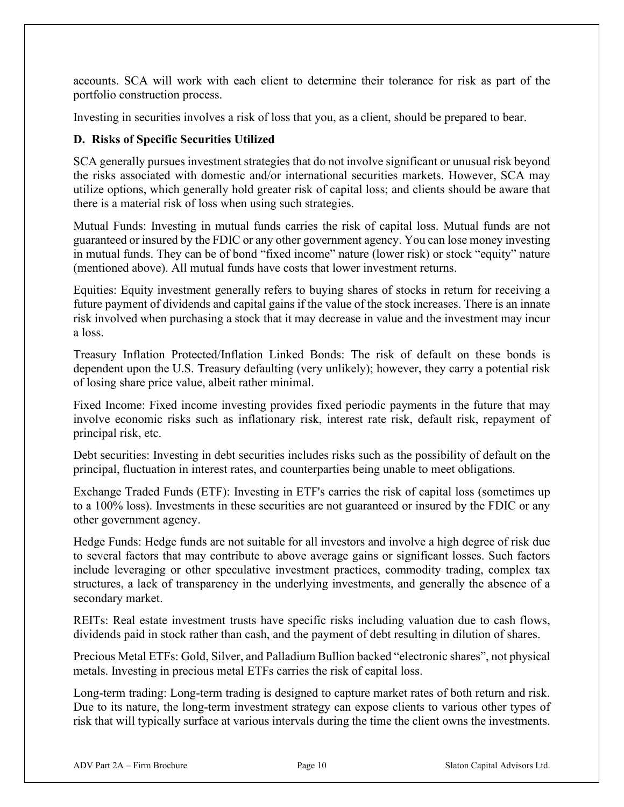accounts. SCA will work with each client to determine their tolerance for risk as part of the portfolio construction process.

Investing in securities involves a risk of loss that you, as a client, should be prepared to bear.

#### **D. Risks of Specific Securities Utilized**

SCA generally pursues investment strategies that do not involve significant or unusual risk beyond the risks associated with domestic and/or international securities markets. However, SCA may utilize options, which generally hold greater risk of capital loss; and clients should be aware that there is a material risk of loss when using such strategies.

Mutual Funds: Investing in mutual funds carries the risk of capital loss. Mutual funds are not guaranteed or insured by the FDIC or any other government agency. You can lose money investing in mutual funds. They can be of bond "fixed income" nature (lower risk) or stock "equity" nature (mentioned above). All mutual funds have costs that lower investment returns.

Equities: Equity investment generally refers to buying shares of stocks in return for receiving a future payment of dividends and capital gains if the value of the stock increases. There is an innate risk involved when purchasing a stock that it may decrease in value and the investment may incur a loss.

Treasury Inflation Protected/Inflation Linked Bonds: The risk of default on these bonds is dependent upon the U.S. Treasury defaulting (very unlikely); however, they carry a potential risk of losing share price value, albeit rather minimal.

Fixed Income: Fixed income investing provides fixed periodic payments in the future that may involve economic risks such as inflationary risk, interest rate risk, default risk, repayment of principal risk, etc.

Debt securities: Investing in debt securities includes risks such as the possibility of default on the principal, fluctuation in interest rates, and counterparties being unable to meet obligations.

Exchange Traded Funds (ETF): Investing in ETF's carries the risk of capital loss (sometimes up to a 100% loss). Investments in these securities are not guaranteed or insured by the FDIC or any other government agency.

Hedge Funds: Hedge funds are not suitable for all investors and involve a high degree of risk due to several factors that may contribute to above average gains or significant losses. Such factors include leveraging or other speculative investment practices, commodity trading, complex tax structures, a lack of transparency in the underlying investments, and generally the absence of a secondary market.

REITs: Real estate investment trusts have specific risks including valuation due to cash flows, dividends paid in stock rather than cash, and the payment of debt resulting in dilution of shares.

Precious Metal ETFs: Gold, Silver, and Palladium Bullion backed "electronic shares", not physical metals. Investing in precious metal ETFs carries the risk of capital loss.

Long-term trading: Long-term trading is designed to capture market rates of both return and risk. Due to its nature, the long-term investment strategy can expose clients to various other types of risk that will typically surface at various intervals during the time the client owns the investments.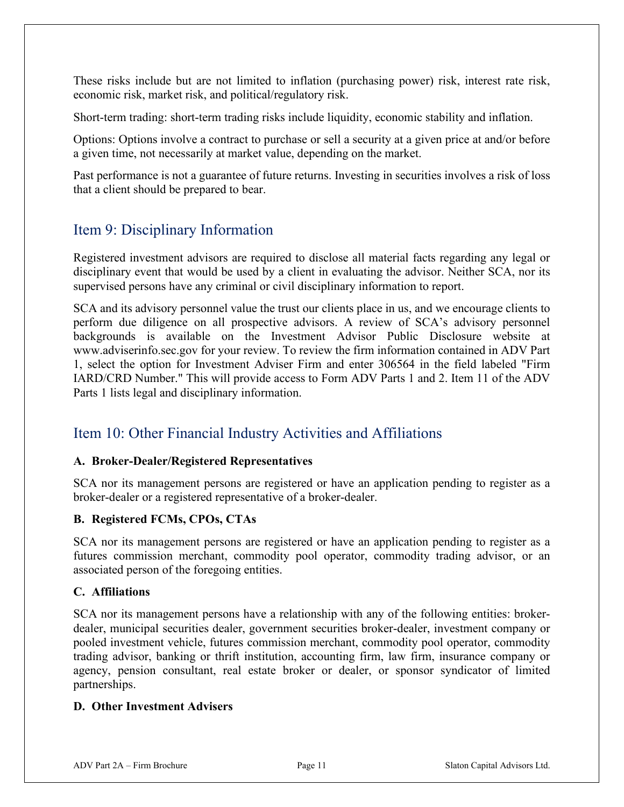These risks include but are not limited to inflation (purchasing power) risk, interest rate risk, economic risk, market risk, and political/regulatory risk.

Short-term trading: short-term trading risks include liquidity, economic stability and inflation.

Options: Options involve a contract to purchase or sell a security at a given price at and/or before a given time, not necessarily at market value, depending on the market.

Past performance is not a guarantee of future returns. Investing in securities involves a risk of loss that a client should be prepared to bear.

## <span id="page-10-0"></span>Item 9: Disciplinary Information

Registered investment advisors are required to disclose all material facts regarding any legal or disciplinary event that would be used by a client in evaluating the advisor. Neither SCA, nor its supervised persons have any criminal or civil disciplinary information to report.

SCA and its advisory personnel value the trust our clients place in us, and we encourage clients to perform due diligence on all prospective advisors. A review of SCA's advisory personnel backgrounds is available on the Investment Advisor Public Disclosure website at www.adviserinfo.sec.gov for your review. To review the firm information contained in ADV Part 1, select the option for Investment Adviser Firm and enter 306564 in the field labeled "Firm IARD/CRD Number." This will provide access to Form ADV Parts 1 and 2. Item 11 of the ADV Parts 1 lists legal and disciplinary information.

## <span id="page-10-1"></span>Item 10: Other Financial Industry Activities and Affiliations

#### **A. Broker-Dealer/Registered Representatives**

SCA nor its management persons are registered or have an application pending to register as a broker-dealer or a registered representative of a broker-dealer.

#### **B. Registered FCMs, CPOs, CTAs**

SCA nor its management persons are registered or have an application pending to register as a futures commission merchant, commodity pool operator, commodity trading advisor, or an associated person of the foregoing entities.

#### **C. Affiliations**

SCA nor its management persons have a relationship with any of the following entities: brokerdealer, municipal securities dealer, government securities broker-dealer, investment company or pooled investment vehicle, futures commission merchant, commodity pool operator, commodity trading advisor, banking or thrift institution, accounting firm, law firm, insurance company or agency, pension consultant, real estate broker or dealer, or sponsor syndicator of limited partnerships.

#### **D. Other Investment Advisers**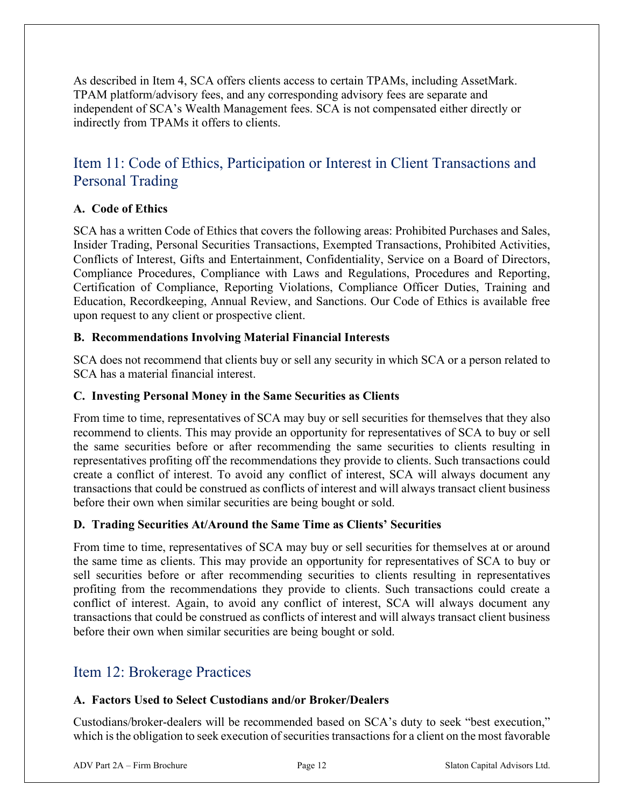As described in Item 4, SCA offers clients access to certain TPAMs, including AssetMark. TPAM platform/advisory fees, and any corresponding advisory fees are separate and independent of SCA's Wealth Management fees. SCA is not compensated either directly or indirectly from TPAMs it offers to clients.

## <span id="page-11-0"></span>Item 11: Code of Ethics, Participation or Interest in Client Transactions and Personal Trading

#### **A. Code of Ethics**

SCA has a written Code of Ethics that covers the following areas: Prohibited Purchases and Sales, Insider Trading, Personal Securities Transactions, Exempted Transactions, Prohibited Activities, Conflicts of Interest, Gifts and Entertainment, Confidentiality, Service on a Board of Directors, Compliance Procedures, Compliance with Laws and Regulations, Procedures and Reporting, Certification of Compliance, Reporting Violations, Compliance Officer Duties, Training and Education, Recordkeeping, Annual Review, and Sanctions. Our Code of Ethics is available free upon request to any client or prospective client.

#### **B. Recommendations Involving Material Financial Interests**

SCA does not recommend that clients buy or sell any security in which SCA or a person related to SCA has a material financial interest.

#### **C. Investing Personal Money in the Same Securities as Clients**

From time to time, representatives of SCA may buy or sell securities for themselves that they also recommend to clients. This may provide an opportunity for representatives of SCA to buy or sell the same securities before or after recommending the same securities to clients resulting in representatives profiting off the recommendations they provide to clients. Such transactions could create a conflict of interest. To avoid any conflict of interest, SCA will always document any transactions that could be construed as conflicts of interest and will always transact client business before their own when similar securities are being bought or sold.

#### **D. Trading Securities At/Around the Same Time as Clients' Securities**

From time to time, representatives of SCA may buy or sell securities for themselves at or around the same time as clients. This may provide an opportunity for representatives of SCA to buy or sell securities before or after recommending securities to clients resulting in representatives profiting from the recommendations they provide to clients. Such transactions could create a conflict of interest. Again, to avoid any conflict of interest, SCA will always document any transactions that could be construed as conflicts of interest and will always transact client business before their own when similar securities are being bought or sold.

### <span id="page-11-1"></span>Item 12: Brokerage Practices

#### **A. Factors Used to Select Custodians and/or Broker/Dealers**

Custodians/broker-dealers will be recommended based on SCA's duty to seek "best execution," which is the obligation to seek execution of securities transactions for a client on the most favorable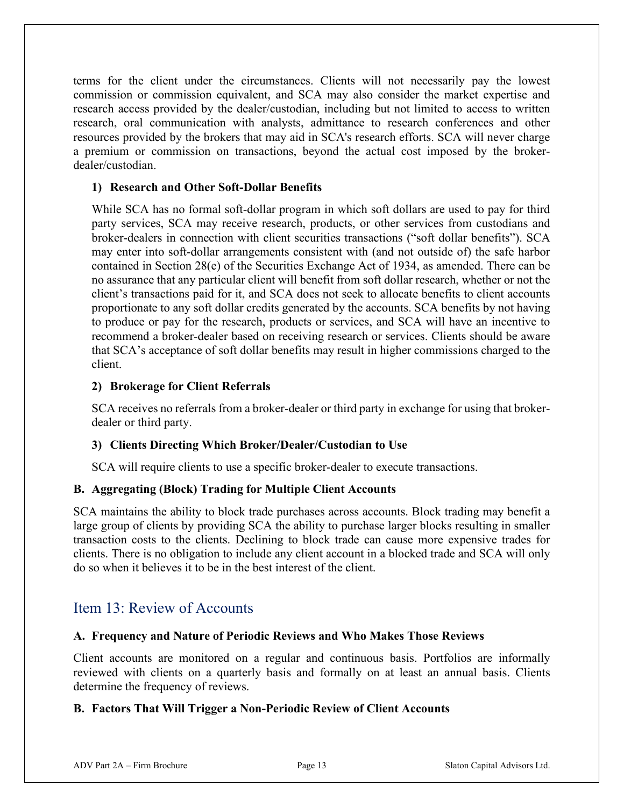terms for the client under the circumstances. Clients will not necessarily pay the lowest commission or commission equivalent, and SCA may also consider the market expertise and research access provided by the dealer/custodian, including but not limited to access to written research, oral communication with analysts, admittance to research conferences and other resources provided by the brokers that may aid in SCA's research efforts. SCA will never charge a premium or commission on transactions, beyond the actual cost imposed by the brokerdealer/custodian.

#### **1) Research and Other Soft-Dollar Benefits**

While SCA has no formal soft-dollar program in which soft dollars are used to pay for third party services, SCA may receive research, products, or other services from custodians and broker-dealers in connection with client securities transactions ("soft dollar benefits"). SCA may enter into soft-dollar arrangements consistent with (and not outside of) the safe harbor contained in Section 28(e) of the Securities Exchange Act of 1934, as amended. There can be no assurance that any particular client will benefit from soft dollar research, whether or not the client's transactions paid for it, and SCA does not seek to allocate benefits to client accounts proportionate to any soft dollar credits generated by the accounts. SCA benefits by not having to produce or pay for the research, products or services, and SCA will have an incentive to recommend a broker-dealer based on receiving research or services. Clients should be aware that SCA's acceptance of soft dollar benefits may result in higher commissions charged to the client.

#### **2) Brokerage for Client Referrals**

SCA receives no referrals from a broker-dealer or third party in exchange for using that brokerdealer or third party.

#### **3) Clients Directing Which Broker/Dealer/Custodian to Use**

SCA will require clients to use a specific broker-dealer to execute transactions.

#### **B. Aggregating (Block) Trading for Multiple Client Accounts**

SCA maintains the ability to block trade purchases across accounts. Block trading may benefit a large group of clients by providing SCA the ability to purchase larger blocks resulting in smaller transaction costs to the clients. Declining to block trade can cause more expensive trades for clients. There is no obligation to include any client account in a blocked trade and SCA will only do so when it believes it to be in the best interest of the client.

## <span id="page-12-0"></span>Item 13: Review of Accounts

#### **A. Frequency and Nature of Periodic Reviews and Who Makes Those Reviews**

Client accounts are monitored on a regular and continuous basis. Portfolios are informally reviewed with clients on a quarterly basis and formally on at least an annual basis. Clients determine the frequency of reviews.

#### **B. Factors That Will Trigger a Non-Periodic Review of Client Accounts**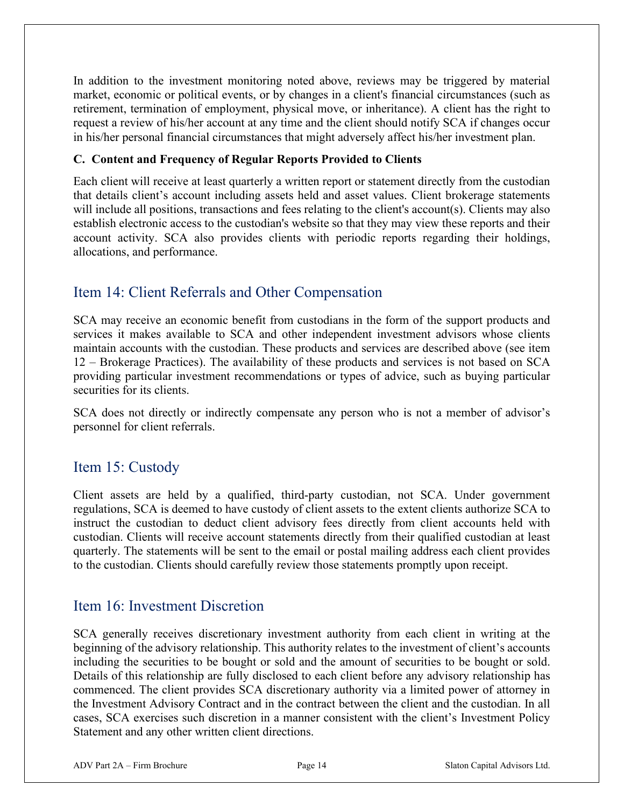In addition to the investment monitoring noted above, reviews may be triggered by material market, economic or political events, or by changes in a client's financial circumstances (such as retirement, termination of employment, physical move, or inheritance). A client has the right to request a review of his/her account at any time and the client should notify SCA if changes occur in his/her personal financial circumstances that might adversely affect his/her investment plan.

#### **C. Content and Frequency of Regular Reports Provided to Clients**

Each client will receive at least quarterly a written report or statement directly from the custodian that details client's account including assets held and asset values. Client brokerage statements will include all positions, transactions and fees relating to the client's account(s). Clients may also establish electronic access to the custodian's website so that they may view these reports and their account activity. SCA also provides clients with periodic reports regarding their holdings, allocations, and performance.

## <span id="page-13-0"></span>Item 14: Client Referrals and Other Compensation

SCA may receive an economic benefit from custodians in the form of the support products and services it makes available to SCA and other independent investment advisors whose clients maintain accounts with the custodian. These products and services are described above (see item 12 – Brokerage Practices). The availability of these products and services is not based on SCA providing particular investment recommendations or types of advice, such as buying particular securities for its clients.

SCA does not directly or indirectly compensate any person who is not a member of advisor's personnel for client referrals.

## <span id="page-13-1"></span>Item 15: Custody

Client assets are held by a qualified, third-party custodian, not SCA. Under government regulations, SCA is deemed to have custody of client assets to the extent clients authorize SCA to instruct the custodian to deduct client advisory fees directly from client accounts held with custodian. Clients will receive account statements directly from their qualified custodian at least quarterly. The statements will be sent to the email or postal mailing address each client provides to the custodian. Clients should carefully review those statements promptly upon receipt.

### <span id="page-13-2"></span>Item 16: Investment Discretion

<span id="page-13-3"></span>SCA generally receives discretionary investment authority from each client in writing at the beginning of the advisory relationship. This authority relates to the investment of client's accounts including the securities to be bought or sold and the amount of securities to be bought or sold. Details of this relationship are fully disclosed to each client before any advisory relationship has commenced. The client provides SCA discretionary authority via a limited power of attorney in the Investment Advisory Contract and in the contract between the client and the custodian. In all cases, SCA exercises such discretion in a manner consistent with the client's Investment Policy Statement and any other written client directions.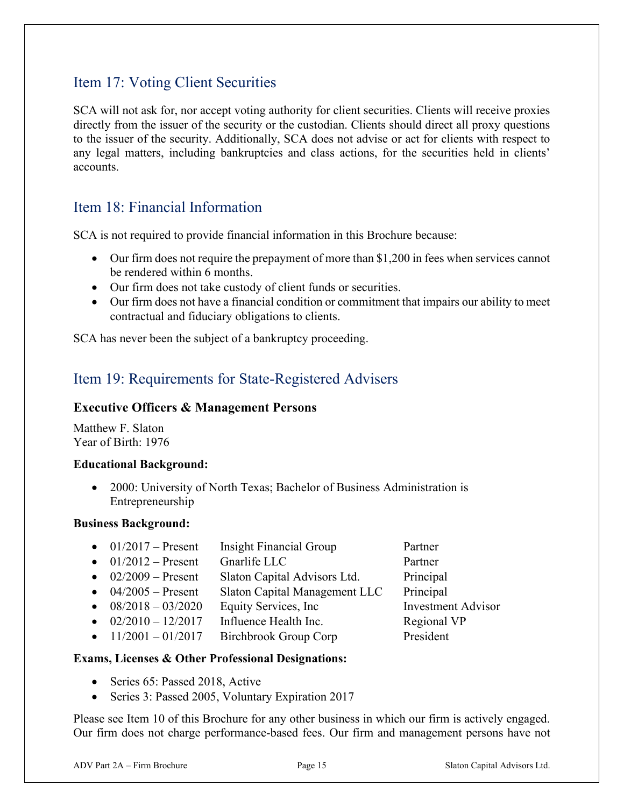## Item 17: Voting Client Securities

<span id="page-14-0"></span>SCA will not ask for, nor accept voting authority for client securities. Clients will receive proxies directly from the issuer of the security or the custodian. Clients should direct all proxy questions to the issuer of the security. Additionally, SCA does not advise or act for clients with respect to any legal matters, including bankruptcies and class actions, for the securities held in clients' accounts.

## Item 18: Financial Information

SCA is not required to provide financial information in this Brochure because:

- Our firm does not require the prepayment of more than \$1,200 in fees when services cannot be rendered within 6 months.
- Our firm does not take custody of client funds or securities.
- Our firm does not have a financial condition or commitment that impairs our ability to meet contractual and fiduciary obligations to clients.

SCA has never been the subject of a bankruptcy proceeding.

## <span id="page-14-1"></span>Item 19: Requirements for State-Registered Advisers

#### **Executive Officers & Management Persons**

Matthew F. Slaton Year of Birth: 1976

#### **Educational Background:**

• 2000: University of North Texas; Bachelor of Business Administration is Entrepreneurship

#### **Business Background:**

• 01/2017 – Present Insight Financial Group Partner • 01/2012 – Present Gnarlife LLC Partner • 02/2009 – Present Slaton Capital Advisors Ltd. Principal • 04/2005 – Present Slaton Capital Management LLC Principal • 08/2018 – 03/2020 Equity Services, Inc Investment Advisor •  $02/2010 - 12/2017$  Influence Health Inc. Regional VP •  $11/2001 - 01/2017$  Birchbrook Group Corp President

#### **Exams, Licenses & Other Professional Designations:**

- Series 65: Passed 2018, Active
- Series 3: Passed 2005, Voluntary Expiration 2017

Please see Item 10 of this Brochure for any other business in which our firm is actively engaged. Our firm does not charge performance-based fees. Our firm and management persons have not